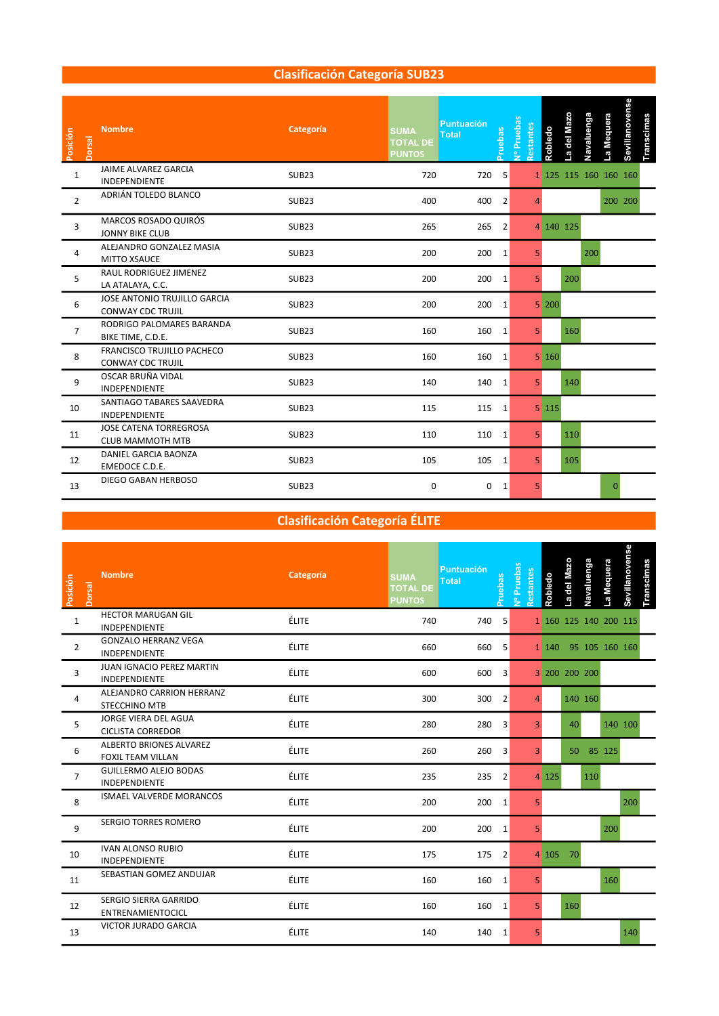### Clasificación Categoría SUB23

| Posición<br>Dorsal | <b>Nombre</b>                                                 | Categoría         | <b>SUMA</b><br><b>Total</b><br><b>TOTAL DE</b><br><b>PUNTOS</b> | <b>Puntuación</b><br>Pruebas | Nº Pruebas<br>Restantes | Robledo                     | La del Mazo | Navaluenga            | La Mequera   | Sevillanovense | Transcimas |  |  |  |
|--------------------|---------------------------------------------------------------|-------------------|-----------------------------------------------------------------|------------------------------|-------------------------|-----------------------------|-------------|-----------------------|--------------|----------------|------------|--|--|--|
| $\mathbf{1}$       | JAIME ALVAREZ GARCIA<br>INDEPENDIENTE                         | <b>SUB23</b>      | 720                                                             | 720<br>5                     |                         |                             |             | 1 125 115 160 160 160 |              |                |            |  |  |  |
| $\overline{2}$     | ADRIÁN TOLEDO BLANCO                                          | <b>SUB23</b>      | 400                                                             | 400<br>$\overline{2}$        |                         |                             |             |                       | 200 200      |                |            |  |  |  |
| 3                  | MARCOS ROSADO QUIRÓS<br><b>JONNY BIKE CLUB</b>                | <b>SUB23</b>      | 265                                                             | 265<br>$\overline{2}$        |                         | 4 140 125                   |             |                       |              |                |            |  |  |  |
| 4                  | ALEJANDRO GONZALEZ MASIA<br><b>MITTO XSAUCE</b>               | <b>SUB23</b>      | 200                                                             | $200 \t1$                    | 5                       |                             |             | 200                   |              |                |            |  |  |  |
| 5                  | RAUL RODRIGUEZ JIMENEZ<br>LA ATALAYA, C.C.                    | SUB <sub>23</sub> | 200                                                             | 200<br>1                     | 5 <sup>1</sup>          |                             | 200         |                       |              |                |            |  |  |  |
| 6                  | JOSE ANTONIO TRUJILLO GARCIA<br><b>CONWAY CDC TRUJIL</b>      | SUB <sub>23</sub> | 200                                                             | 200<br>$\vert$ 1             |                         | $5 \overline{\smash{)}200}$ |             |                       |              |                |            |  |  |  |
| $\overline{7}$     | RODRIGO PALOMARES BARANDA<br>BIKE TIME, C.D.E.                | <b>SUB23</b>      | 160                                                             | 160<br>1                     | 5 <sup>1</sup>          |                             | 160         |                       |              |                |            |  |  |  |
| 8                  | <b>FRANCISCO TRUJILLO PACHECO</b><br><b>CONWAY CDC TRUJIL</b> | <b>SUB23</b>      | 160                                                             | 160<br>1                     |                         | $5 \vert 160$               |             |                       |              |                |            |  |  |  |
| 9                  | OSCAR BRUÑA VIDAL<br><b>INDEPENDIENTE</b>                     | <b>SUB23</b>      | 140                                                             | 140 1                        | 5 <sup>1</sup>          |                             | 140         |                       |              |                |            |  |  |  |
| 10                 | SANTIAGO TABARES SAAVEDRA<br><b>INDEPENDIENTE</b>             | <b>SUB23</b>      | 115                                                             | 115<br>1                     |                         | $5 \; 115$                  |             |                       |              |                |            |  |  |  |
| 11                 | <b>JOSE CATENA TORREGROSA</b><br><b>CLUB MAMMOTH MTB</b>      | <b>SUB23</b>      | 110                                                             | 110 1                        | 5 <sup>1</sup>          |                             | 110         |                       |              |                |            |  |  |  |
| 12                 | DANIEL GARCIA BAONZA<br>EMEDOCE C.D.E.                        | <b>SUB23</b>      | 105                                                             | 105<br>1                     | 5 <sup>1</sup>          |                             | 105         |                       |              |                |            |  |  |  |
| 13                 | DIEGO GABAN HERBOSO                                           | SUB <sub>23</sub> | $\mathbf 0$                                                     | 0 <sub>1</sub>               | 5 <sup>1</sup>          |                             |             |                       | <sup>n</sup> |                |            |  |  |  |

# Clasificación Categoría ÉLITE

| Posición<br><b>Dorsal</b> | <b>Nombre</b>                                              | Categoría    | <b>SUMA</b><br><b>Total</b><br><b>TOTAL DE</b><br><b>PUNTOS</b> | <b>Puntuación</b><br>Pruebas   | Vº Pruebas<br>Restantes | Robledo  | La del Mazo | Navaluenga            | La Mequera | Sevillanovense | ranscimas |  |
|---------------------------|------------------------------------------------------------|--------------|-----------------------------------------------------------------|--------------------------------|-------------------------|----------|-------------|-----------------------|------------|----------------|-----------|--|
| $1\,$                     | <b>HECTOR MARUGAN GIL</b><br>INDEPENDIENTE                 | <b>ÉLITE</b> | 740                                                             | 740 5                          |                         |          |             | 1 160 125 140 200 115 |            |                |           |  |
| $\overline{2}$            | <b>GONZALO HERRANZ VEGA</b><br><b>INDEPENDIENTE</b>        | <b>ÉLITE</b> | 660                                                             | 660 5                          |                         |          |             | 1 140 95 105 160 160  |            |                |           |  |
| $\overline{3}$            | JUAN IGNACIO PEREZ MARTIN<br>INDEPENDIENTE                 | <b>ÉLITE</b> | 600                                                             | 600<br>$\overline{\mathbf{3}}$ |                         |          |             | 3 200 200 200         |            |                |           |  |
| $\overline{4}$            | ALEJANDRO CARRION HERRANZ<br><b>STECCHINO MTB</b>          | ÉLITE        | 300                                                             | 300<br>$\overline{2}$          | $\overline{4}$          |          |             | 140 160               |            |                |           |  |
| 5                         | JORGE VIERA DEL AGUA<br><b>CICLISTA CORREDOR</b>           | ÉLITE        | 280                                                             | 280<br>3                       | $\overline{3}$          |          | 40          |                       |            | 140 100        |           |  |
| 6                         | <b>ALBERTO BRIONES ALVAREZ</b><br><b>FOXIL TEAM VILLAN</b> | <b>ÉLITE</b> | 260                                                             | 260<br>3                       | $\overline{3}$          |          | 50          |                       | 85 125     |                |           |  |
| $\overline{7}$            | <b>GUILLERMO ALEJO BODAS</b><br>INDEPENDIENTE              | <b>ÉLITE</b> | 235                                                             | 235 2                          |                         | 4 125    |             | 110                   |            |                |           |  |
| 8                         | <b>ISMAEL VALVERDE MORANCOS</b>                            | ÉLITE        | 200                                                             | 200 1                          | 5 <sub>1</sub>          |          |             |                       |            | 200            |           |  |
| 9                         | <b>SERGIO TORRES ROMERO</b>                                | <b>ÉLITE</b> | 200                                                             | 200 1                          | 5                       |          |             |                       | 200        |                |           |  |
| 10                        | <b>IVAN ALONSO RUBIO</b><br>INDEPENDIENTE                  | <b>ÉLITE</b> | 175                                                             | 175<br>$\overline{2}$          |                         | 4 105 70 |             |                       |            |                |           |  |
| 11                        | SEBASTIAN GOMEZ ANDUJAR                                    | <b>ÉLITE</b> | 160                                                             | 160 1                          | 5 <sup>1</sup>          |          |             |                       | 160        |                |           |  |
| 12                        | SERGIO SIERRA GARRIDO<br>ENTRENAMIENTOCICL                 | <b>ÉLITE</b> | 160                                                             | 160<br>1                       | 5 <sup>1</sup>          |          | 160         |                       |            |                |           |  |
| 13                        | VICTOR JURADO GARCIA                                       | <b>ÉLITE</b> | 140                                                             | 140 1                          | 5                       |          |             |                       |            | 140            |           |  |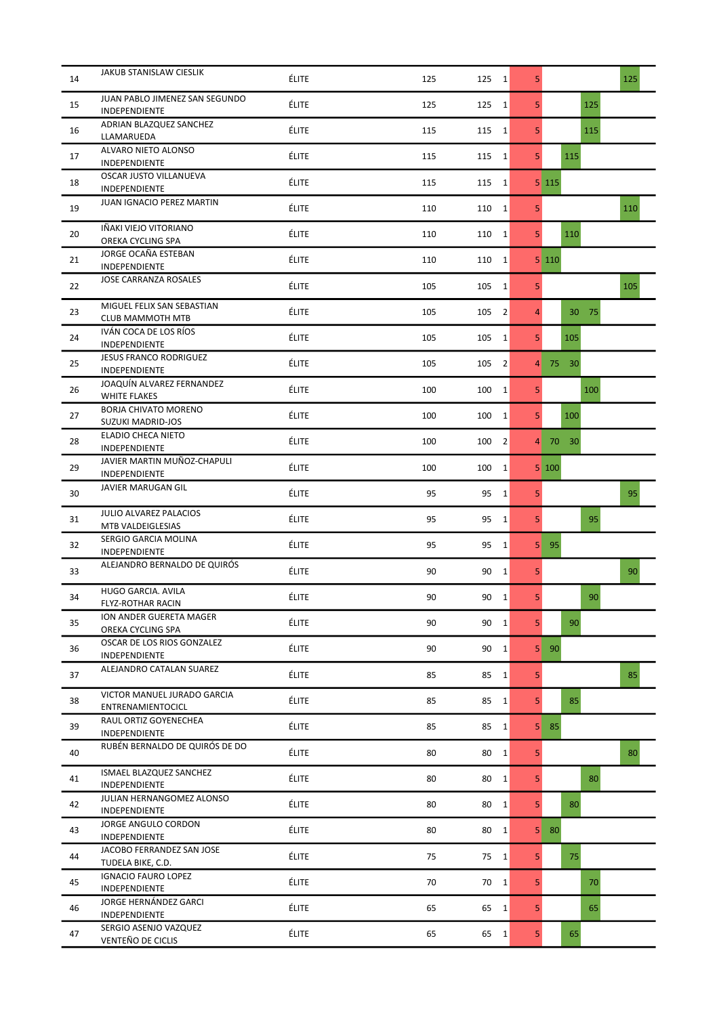| 14 | JAKUB STANISLAW CIESLIK                          | ÉLITE        | 125<br>125 | 1              | 5              | 125   |
|----|--------------------------------------------------|--------------|------------|----------------|----------------|-------|
| 15 | JUAN PABLO JIMENEZ SAN SEGUNDO<br>INDEPENDIENTE  | ÉLITE        | 125<br>125 | $1\vert$       | 5 <sup>1</sup> | 125   |
| 16 | ADRIAN BLAZQUEZ SANCHEZ<br>LLAMARUEDA            | ÉLITE        | 115<br>115 | 1              | 5 <sup>1</sup> | 115   |
| 17 | ALVARO NIETO ALONSO<br>INDEPENDIENTE             | ÉLITE        | 115<br>115 | $\mathbf{1}$   | 5 <sup>1</sup> | 115   |
| 18 | OSCAR JUSTO VILLANUEVA<br>INDEPENDIENTE          | ÉLITE        | 115<br>115 | $\mathbf{1}$   |                | 5 115 |
| 19 | <b>JUAN IGNACIO PEREZ MARTIN</b>                 | ÉLITE        | 110<br>110 | $\mathbf{1}$   | 5 <sup>1</sup> | 110   |
| 20 | IÑAKI VIEJO VITORIANO<br>OREKA CYCLING SPA       | ÉLITE        | 110<br>110 | $\mathbf{1}$   | 5 <sup>1</sup> | 110   |
| 21 | JORGE OCAÑA ESTEBAN<br>INDEPENDIENTE             | ÉLITE        | 110<br>110 | $\mathbf{1}$   |                | 5 110 |
| 22 | <b>JOSE CARRANZA ROSALES</b>                     | ÉLITE        | 105<br>105 | $\mathbf{1}$   | 5              | 105   |
| 23 | MIGUEL FELIX SAN SEBASTIAN<br>CLUB MAMMOTH MTB   | ÉLITE        | 105<br>105 | $\overline{2}$ | 4              | 30 75 |
| 24 | IVÁN COCA DE LOS RÍOS<br>INDEPENDIENTE           | ÉLITE        | 105<br>105 | $\mathbf 1$    | 5 <sup>1</sup> | 105   |
| 25 | <b>JESUS FRANCO RODRIGUEZ</b><br>INDEPENDIENTE   | ÉLITE        | 105<br>105 | $\overline{2}$ | 4              | 75 30 |
| 26 | JOAQUÍN ALVAREZ FERNANDEZ<br><b>WHITE FLAKES</b> | ÉLITE        | 100<br>100 | 1              | 5 <sup>1</sup> | 100   |
| 27 | <b>BORJA CHIVATO MORENO</b><br>SUZUKI MADRID-JOS | ÉLITE        | 100<br>100 | $\mathbf{1}$   | 5 <sup>1</sup> | 100   |
| 28 | ELADIO CHECA NIETO<br>INDEPENDIENTE              | ÉLITE        | 100<br>100 | $\overline{2}$ | $\overline{4}$ | 70 30 |
| 29 | JAVIER MARTIN MUÑOZ-CHAPULI<br>INDEPENDIENTE     | ÉLITE        | 100<br>100 | $\mathbf{1}$   |                | 5 100 |
| 30 | JAVIER MARUGAN GIL                               | ÉLITE        | 95<br>95   | $\mathbf{1}$   | 5 <sup>1</sup> | 95    |
| 31 | JULIO ALVAREZ PALACIOS<br>MTB VALDEIGLESIAS      | ÉLITE        | 95<br>95   | $\mathbf{1}$   | 5 <sup>1</sup> | 95    |
| 32 | SERGIO GARCIA MOLINA<br>INDEPENDIENTE            | ÉLITE        | 95<br>95   | 1              | 5              | 95    |
| 33 | ALEJANDRO BERNALDO DE QUIRÓS                     | ÉLITE        | 90<br>90   | $\mathbf{1}$   | 5 <sup>1</sup> | 90    |
| 34 | HUGO GARCIA. AVILA<br>FLYZ-ROTHAR RACIN          | ÉLITE        | 90<br>90   | $\mathbf{1}$   | 5              | 90    |
| 35 | ION ANDER GUERETA MAGER<br>OREKA CYCLING SPA     | ÉLITE        | 90         | 90 1           | 5 <sup>1</sup> | 90    |
| 36 | OSCAR DE LOS RIOS GONZALEZ<br>INDEPENDIENTE      | ÉLITE        | 90<br>90   | $\mathbf{1}$   | 5 <sub>1</sub> | 90    |
| 37 | ALEJANDRO CATALAN SUAREZ                         | ÉLITE        | 85<br>85   | 1              | 5 <sup>1</sup> | 85    |
| 38 | VICTOR MANUEL JURADO GARCIA<br>ENTRENAMIENTOCICL | <b>ÉLITE</b> | 85<br>85   | 1              | 5 <sup>1</sup> | 85    |
| 39 | RAUL ORTIZ GOYENECHEA<br>INDEPENDIENTE           | ÉLITE        | 85<br>85   | 1              | 5 <sup>1</sup> | 85    |
| 40 | RUBÉN BERNALDO DE QUIRÓS DE DO                   | ÉLITE        | 80<br>80   | $\vert$ 1      | 5 <sup>1</sup> | 80    |
| 41 | ISMAEL BLAZQUEZ SANCHEZ<br>INDEPENDIENTE         | ÉLITE        | 80<br>80   | $\vert$ 1      | 5 <sup>1</sup> | 80    |
| 42 | JULIAN HERNANGOMEZ ALONSO<br>INDEPENDIENTE       | ÉLITE        | 80<br>80   | 1              | 5 <sup>1</sup> | 80    |
| 43 | JORGE ANGULO CORDON<br>INDEPENDIENTE             | <b>ÉLITE</b> | 80<br>80   | 1              | 5 <sub>1</sub> | 80    |
| 44 | JACOBO FERRANDEZ SAN JOSE<br>TUDELA BIKE, C.D.   | ÉLITE        | 75<br>75   | $\vert$ 1      | 5 <sup>1</sup> | 75    |
| 45 | <b>IGNACIO FAURO LOPEZ</b><br>INDEPENDIENTE      | ÉLITE        | 70         | $70 \quad 1$   | 5 <sup>1</sup> | 70    |
| 46 | JORGE HERNÁNDEZ GARCI<br>INDEPENDIENTE           | <b>ÉLITE</b> | 65<br>65   | $\vert$ 1      | 5 <sup>1</sup> | 65    |
| 47 | SERGIO ASENJO VAZQUEZ<br>VENTEÑO DE CICLIS       | ÉLITE        | 65<br>65   | 1              | 5 <sup>1</sup> | 65    |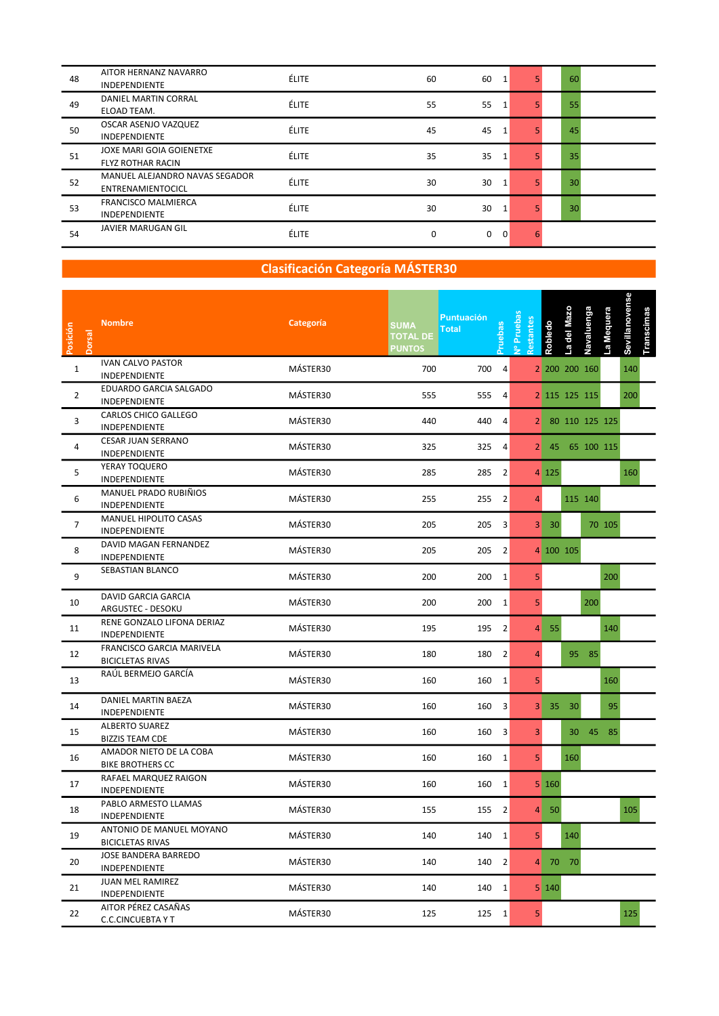| 48 | AITOR HERNANZ NAVARRO<br><b>INDEPENDIENTE</b>        | <b>ÉLITE</b> | 60 | 60 |              |   | 60 |  |
|----|------------------------------------------------------|--------------|----|----|--------------|---|----|--|
| 49 | DANIEL MARTIN CORRAL<br>ELOAD TEAM.                  | <b>ÉLITE</b> | 55 | 55 |              |   | 55 |  |
| 50 | OSCAR ASENJO VAZQUEZ<br><b>INDEPENDIENTE</b>         | <b>ÉLITE</b> | 45 | 45 |              |   | 45 |  |
| 51 | JOXE MARI GOIA GOIENETXE<br><b>FLYZ ROTHAR RACIN</b> | <b>ÉLITE</b> | 35 | 35 |              |   | 35 |  |
| 52 | MANUEL ALEJANDRO NAVAS SEGADOR<br>ENTRENAMIENTOCICL  | <b>ÉLITE</b> | 30 | 30 | 1            |   | 30 |  |
| 53 | <b>FRANCISCO MALMIERCA</b><br><b>INDEPENDIENTE</b>   | <b>ÉLITE</b> | 30 | 30 | $\mathbf{1}$ |   | 30 |  |
| 54 | JAVIER MARUGAN GIL                                   | <b>ÉLITE</b> | 0  | 0  | 0            | 6 |    |  |

| Posición<br><b>Dorsal</b> | <b>Nombre</b>                                        | Categoría | <b>SUMA</b><br><b>TOTAL DE</b><br><b>PUNTOS</b> | <b>Puntuación</b><br><b>Pruebas</b><br><b>Total</b> | J <sup>o</sup> Prueba<br>estantes | Robledo      | a del Mazo | Navaluenga       | a Mequera | Sevillanovense<br>Transcimas |  |  |
|---------------------------|------------------------------------------------------|-----------|-------------------------------------------------|-----------------------------------------------------|-----------------------------------|--------------|------------|------------------|-----------|------------------------------|--|--|
| $\mathbf{1}$              | <b>IVAN CALVO PASTOR</b><br>INDEPENDIENTE            | MÁSTER30  | 700                                             | 700<br>4                                            |                                   |              |            | 2 200 200 160    |           | 140                          |  |  |
| $\overline{2}$            | EDUARDO GARCIA SALGADO<br>INDEPENDIENTE              | MÁSTER30  | 555                                             | 555 4                                               |                                   |              |            | 2 115 125 115    |           | 200                          |  |  |
| 3                         | CARLOS CHICO GALLEGO<br>INDEPENDIENTE                | MÁSTER30  | 440                                             | 440 4                                               |                                   |              |            | 2 80 110 125 125 |           |                              |  |  |
| 4                         | CESAR JUAN SERRANO<br>INDEPENDIENTE                  | MÁSTER30  | 325                                             | 325 4                                               |                                   |              |            | 2 45 65 100 115  |           |                              |  |  |
| 5                         | YERAY TOQUERO<br>INDEPENDIENTE                       | MÁSTER30  | 285                                             | 285 2                                               |                                   | 4 125        |            |                  |           | 160                          |  |  |
| 6                         | MANUEL PRADO RUBIÑIOS<br>INDEPENDIENTE               | MÁSTER30  | 255                                             | 255 2                                               | $\overline{4}$                    |              |            | 115 140          |           |                              |  |  |
| $\overline{7}$            | MANUEL HIPOLITO CASAS<br>INDEPENDIENTE               | MÁSTER30  | 205                                             | 205 3                                               |                                   | $3 \quad 30$ |            |                  | 70 105    |                              |  |  |
| 8                         | DAVID MAGAN FERNANDEZ<br>INDEPENDIENTE               | MÁSTER30  | 205                                             | 205 2                                               |                                   | 4 100 105    |            |                  |           |                              |  |  |
| 9                         | SEBASTIAN BLANCO                                     | MÁSTER30  | 200                                             | 200 1                                               | 5 <sub>1</sub>                    |              |            |                  | 200       |                              |  |  |
| 10                        | DAVID GARCIA GARCIA<br>ARGUSTEC - DESOKU             | MÁSTER30  | 200                                             | 200 1                                               | 5 <sub>1</sub>                    |              |            | 200              |           |                              |  |  |
| 11                        | RENE GONZALO LIFONA DERIAZ<br>INDEPENDIENTE          | MÁSTER30  | 195                                             | 195 2                                               |                                   | $4 \quad 55$ |            |                  | 140       |                              |  |  |
| 12                        | FRANCISCO GARCIA MARIVELA<br><b>BICICLETAS RIVAS</b> | MÁSTER30  | 180                                             | 180 2                                               | 4                                 |              |            | 95 85            |           |                              |  |  |
| 13                        | RAÚL BERMEJO GARCÍA                                  | MÁSTER30  | 160                                             | 160 1                                               | 5 <sub>1</sub>                    |              |            |                  | 160       |                              |  |  |
| 14                        | DANIEL MARTIN BAEZA<br>INDEPENDIENTE                 | MÁSTER30  | 160                                             | 160 3                                               |                                   | 3 35 30      |            |                  | 95        |                              |  |  |
| 15                        | <b>ALBERTO SUAREZ</b><br><b>BIZZIS TEAM CDE</b>      | MÁSTER30  | 160                                             | 160 3                                               | $\overline{3}$                    |              |            | 30 45 85         |           |                              |  |  |
| 16                        | AMADOR NIETO DE LA COBA<br><b>BIKE BROTHERS CC</b>   | MÁSTER30  | 160                                             | 160 1                                               | 5 <sub>1</sub>                    |              | 160        |                  |           |                              |  |  |
| 17                        | RAFAEL MARQUEZ RAIGON<br>INDEPENDIENTE               | MÁSTER30  | 160                                             | 160 1                                               |                                   | 5 160        |            |                  |           |                              |  |  |
| 18                        | PABLO ARMESTO LLAMAS<br>INDEPENDIENTE                | MÁSTER30  | 155                                             | 155 2                                               |                                   | $4 \quad 50$ |            |                  |           | 105                          |  |  |
| 19                        | ANTONIO DE MANUEL MOYANO<br><b>BICICLETAS RIVAS</b>  | MÁSTER30  | 140                                             | 140 1                                               | 5 <sub>1</sub>                    |              | 140        |                  |           |                              |  |  |
| 20                        | JOSE BANDERA BARREDO<br>INDEPENDIENTE                | MÁSTER30  | 140                                             | $140$ 2                                             |                                   | 4 70 70      |            |                  |           |                              |  |  |
| 21                        | <b>JUAN MEL RAMIREZ</b><br>INDEPENDIENTE             | MÁSTER30  | 140                                             | 140 1                                               |                                   | 5 140        |            |                  |           |                              |  |  |
| 22                        | AITOR PÉREZ CASAÑAS<br><b>C.C.CINCUEBTA Y T</b>      | MÁSTER30  | 125                                             | 125 1                                               | $\overline{\mathbf{5}}$           |              |            |                  |           | 125                          |  |  |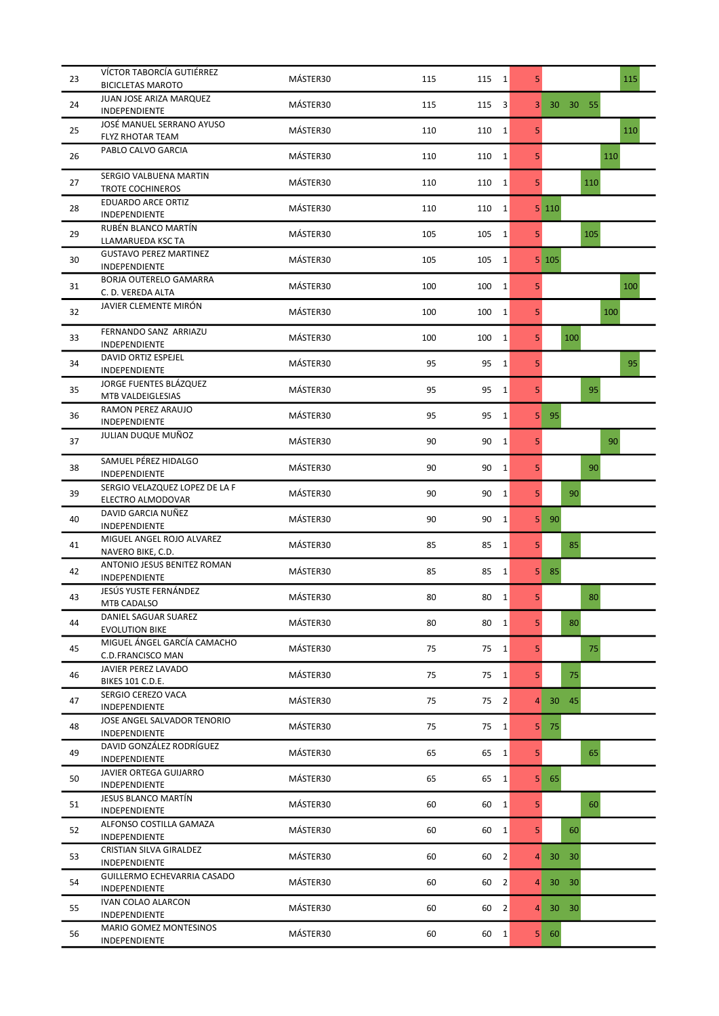| 23 | VÍCTOR TABORCÍA GUTIÉRREZ<br><b>BICICLETAS MAROTO</b> | MÁSTER30 | 115 | 115          | $\vert 1 \vert$ | 5              |                                    | 115 |
|----|-------------------------------------------------------|----------|-----|--------------|-----------------|----------------|------------------------------------|-----|
| 24 | JUAN JOSE ARIZA MARQUEZ<br><b>INDEPENDIENTE</b>       | MÁSTER30 | 115 | 115          | 3               | 3              | 30 30 55                           |     |
| 25 | JOSÉ MANUEL SERRANO AYUSO<br>FLYZ RHOTAR TEAM         | MÁSTER30 | 110 | 110          | $\mathbf{1}$    | 5              |                                    | 110 |
| 26 | PABLO CALVO GARCIA                                    | MÁSTER30 | 110 | 110          | $1\vert$        | 5 <sup>1</sup> |                                    | 110 |
| 27 | SERGIO VALBUENA MARTIN                                | MÁSTER30 | 110 | 110          | 1               | 5 <sup>1</sup> | 110                                |     |
| 28 | <b>TROTE COCHINEROS</b><br><b>EDUARDO ARCE ORTIZ</b>  | MÁSTER30 | 110 | 110          | 1               |                | 5 110                              |     |
| 29 | INDEPENDIENTE<br>RUBÉN BLANCO MARTÍN                  | MÁSTER30 | 105 | 105          | $1\vert$        | 5 <sup>1</sup> | 105                                |     |
| 30 | LLAMARUEDA KSC TA<br><b>GUSTAVO PEREZ MARTINEZ</b>    | MÁSTER30 | 105 | 105          | 1               |                | $5 \vert 105 \vert$                |     |
| 31 | INDEPENDIENTE<br><b>BORJA OUTERELO GAMARRA</b>        | MÁSTER30 | 100 | 100          | $1\vert$        | 5              |                                    | 100 |
| 32 | C. D. VEREDA ALTA<br>JAVIER CLEMENTE MIRÓN            | MÁSTER30 | 100 | 100          | $\mathbf{1}$    | 5              |                                    | 100 |
| 33 | FERNANDO SANZ ARRIAZU                                 | MÁSTER30 | 100 | 100          | $1\vert$        | 5 <sup>1</sup> | 100                                |     |
| 34 | INDEPENDIENTE<br>DAVID ORTIZ ESPEJEL                  | MÁSTER30 | 95  | 95           | 1               | 5              |                                    | 95  |
| 35 | INDEPENDIENTE<br>JORGE FUENTES BLÁZQUEZ               | MÁSTER30 | 95  | 95           | 1               | 5 <sup>1</sup> |                                    | 95  |
|    | MTB VALDEIGLESIAS<br>RAMON PEREZ ARAUJO               |          |     |              |                 |                |                                    |     |
| 36 | INDEPENDIENTE<br>JULIAN DUQUE MUÑOZ                   | MÁSTER30 | 95  | 95           | $1\vert$        | 5              | 95                                 |     |
| 37 | SAMUEL PÉREZ HIDALGO                                  | MÁSTER30 | 90  | 90           | $\mathbf{1}$    | 5              |                                    | 90  |
| 38 | INDEPENDIENTE<br>SERGIO VELAZQUEZ LOPEZ DE LA F       | MÁSTER30 | 90  | 90           | $\vert$ 1       | 5 <sup>1</sup> | 90                                 |     |
| 39 | ELECTRO ALMODOVAR                                     | MÁSTER30 | 90  | 90           | 1               | 5 <sup>1</sup> | 90                                 |     |
| 40 | DAVID GARCIA NUÑEZ<br>INDEPENDIENTE                   | MÁSTER30 | 90  | 90           | $1\vert$        | 5 <sub>1</sub> | 90                                 |     |
| 41 | MIGUEL ANGEL ROJO ALVAREZ<br>NAVERO BIKE, C.D.        | MÁSTER30 | 85  | 85           | 1               | 5 <sup>1</sup> | 85                                 |     |
| 42 | ANTONIO JESUS BENITEZ ROMAN<br>INDEPENDIENTE          | MÁSTER30 | 85  | 85           | 1               |                | $5 \quad 85$                       |     |
| 43 | JESÚS YUSTE FERNÁNDEZ<br>MTB CADALSO                  | MÁSTER30 | 80  | 80           | $\overline{1}$  | 5              |                                    | 80  |
| 44 | DANIEL SAGUAR SUAREZ<br><b>EVOLUTION BIKE</b>         | MÁSTER30 | 80  | 80           | 1               | 5 <sup>1</sup> | 80                                 |     |
| 45 | MIGUEL ÁNGEL GARCÍA CAMACHO<br>C.D.FRANCISCO MAN      | MÁSTER30 | 75  | $75 \quad 1$ |                 | 5 <sup>1</sup> |                                    | 75  |
| 46 | JAVIER PEREZ LAVADO<br>BIKES 101 C.D.E.               | MÁSTER30 | 75  | $75 \quad 1$ |                 | 5 <sup>1</sup> | 75                                 |     |
| 47 | SERGIO CEREZO VACA<br>INDEPENDIENTE                   | MÁSTER30 | 75  | $75 \quad 2$ |                 | $\overline{4}$ | 45<br>30 <sup>°</sup>              |     |
| 48 | JOSE ANGEL SALVADOR TENORIO<br>INDEPENDIENTE          | MÁSTER30 | 75  | $75 \quad 1$ |                 | 5              | 75                                 |     |
| 49 | DAVID GONZÁLEZ RODRÍGUEZ<br>INDEPENDIENTE             | MÁSTER30 | 65  | 65           | $\vert$ 1       | 5 <sub>1</sub> |                                    | 65  |
| 50 | JAVIER ORTEGA GUIJARRO<br>INDEPENDIENTE               | MÁSTER30 | 65  | 65           | 1               | 5              | 65                                 |     |
| 51 | JESUS BLANCO MARTÍN<br>INDEPENDIENTE                  | MÁSTER30 | 60  | 60           | 1               | 5 <sub>1</sub> |                                    | 60  |
| 52 | ALFONSO COSTILLA GAMAZA<br>INDEPENDIENTE              | MÁSTER30 | 60  | 60           | 1               | 5 <sup>1</sup> | 60                                 |     |
| 53 | CRISTIAN SILVA GIRALDEZ<br>INDEPENDIENTE              | MÁSTER30 | 60  | 60           | $\vert$ 2       | 4              | 30<br>30                           |     |
| 54 | GUILLERMO ECHEVARRIA CASADO<br>INDEPENDIENTE          | MÁSTER30 | 60  | 60           | $\vert$ 2       | 4              | 30 <sub>1</sub><br>30              |     |
| 55 | IVAN COLAO ALARCON<br>INDEPENDIENTE                   | MÁSTER30 | 60  | 60           | 2               | $\overline{4}$ | 30 <sup>°</sup><br>30 <sub>1</sub> |     |
| 56 | MARIO GOMEZ MONTESINOS                                | MÁSTER30 | 60  | $60 \quad 1$ |                 | 5 <sub>1</sub> | 60                                 |     |
|    | INDEPENDIENTE                                         |          |     |              |                 |                |                                    |     |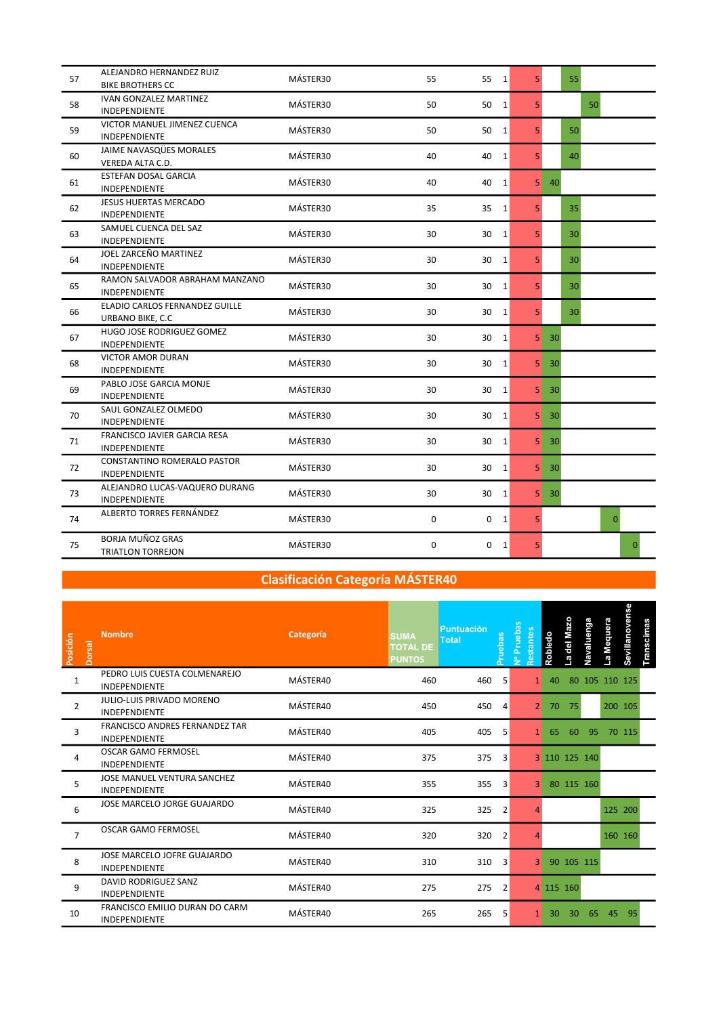| 57 | ALEJANDRO HERNANDEZ RUIZ<br><b>BIKE BROTHERS CC</b>  | MÁSTER30 | 55 | 55<br>$\vert$ 1                 | 5 <sup>1</sup> | 55              |
|----|------------------------------------------------------|----------|----|---------------------------------|----------------|-----------------|
| 58 | IVAN GONZALEZ MARTINEZ<br>INDEPENDIENTE              | MÁSTER30 | 50 | 50<br>$\vert$ 1                 | 5 <sup>1</sup> | 50              |
| 59 | VICTOR MANUEL JIMENEZ CUENCA<br><b>INDEPENDIENTE</b> | MÁSTER30 | 50 | 50<br>$\vert$ 1                 | 5 <sup>1</sup> | 50              |
| 60 | JAIME NAVASQUES MORALES<br>VEREDA ALTA C.D.          | MÁSTER30 | 40 | 40<br>1                         | 5 <sup>1</sup> | 40              |
| 61 | ESTEFAN DOSAL GARCIA<br>INDEPENDIENTE                | MÁSTER30 | 40 | 40<br>$\mathbf{1}$              | 5 <sup>1</sup> | 40              |
| 62 | <b>JESUS HUERTAS MERCADO</b><br>INDEPENDIENTE        | MÁSTER30 | 35 | 35<br>1                         | 5 <sup>1</sup> | 35              |
| 63 | SAMUEL CUENCA DEL SAZ<br>INDEPENDIENTE               | MÁSTER30 | 30 | 30<br>$\vert$ 1                 | 5 <sup>1</sup> | 30              |
| 64 | JOEL ZARCEÑO MARTINEZ<br>INDEPENDIENTE               | MÁSTER30 | 30 | $\vert$ 1<br>30                 | 5 <sup>1</sup> | 30              |
| 65 | RAMON SALVADOR ABRAHAM MANZANO<br>INDEPENDIENTE      | MÁSTER30 | 30 | 30<br>$\vert$ 1                 | 5 <sup>1</sup> | 30              |
| 66 | ELADIO CARLOS FERNANDEZ GUILLE<br>URBANO BIKE, C.C.  | MÁSTER30 | 30 | 30<br>$\vert$ 1                 | 5 <sup>1</sup> | 30              |
| 67 | HUGO JOSE RODRIGUEZ GOMEZ<br>INDEPENDIENTE           | MÁSTER30 | 30 | 30<br>1                         | 5              | 30              |
| 68 | <b>VICTOR AMOR DURAN</b><br>INDEPENDIENTE            | MÁSTER30 | 30 | 30<br>1                         | 5              | 30              |
| 69 | PABLO JOSE GARCIA MONJE<br>INDEPENDIENTE             | MÁSTER30 | 30 | 30 <sup>°</sup><br>$\mathbf{1}$ | 5              | 30              |
| 70 | SAUL GONZALEZ OLMEDO<br><b>INDEPENDIENTE</b>         | MÁSTER30 | 30 | 30<br>1                         | 5 <sub>1</sub> | -30             |
| 71 | FRANCISCO JAVIER GARCIA RESA<br><b>INDEPENDIENTE</b> | MÁSTER30 | 30 | 30<br>$\vert$ 1                 | 5 <sup>1</sup> | $30^{\circ}$    |
| 72 | CONSTANTINO ROMERALO PASTOR<br>INDEPENDIENTE         | MÁSTER30 | 30 | 30<br>$\vert$ 1                 | 5 <sup>1</sup> | $30^{\circ}$    |
| 73 | ALEJANDRO LUCAS-VAQUERO DURANG<br>INDEPENDIENTE      | MÁSTER30 | 30 | 30<br>$1\vert$                  | 5 <sup>1</sup> | 30 <sup>°</sup> |
| 74 | ALBERTO TORRES FERNÁNDEZ                             | MÁSTER30 | 0  | 0<br>1                          | 5 <sup>1</sup> | $\mathbf{0}$    |
| 75 | <b>BORJA MUÑOZ GRAS</b><br><b>TRIATLON TORREJON</b>  | MÁSTER30 | 0  | 0<br>1                          | 5 <sup>1</sup> | $\Omega$        |

| Posición<br><b>Dorsal</b> | <b>Nombre</b>                                          | Categoría | <b>SUMA</b><br><b>TOTAL DE</b><br><b>PUNTOS</b> | <b>Puntuación</b><br><b>Total</b> | Pruebas        | Nº Pruebas<br>lestantes | Robledo         | del Mazo<br><b>l</b> | Navaluenga | La Mequera | Sevillanovense | <b>Transcimas</b> |  |
|---------------------------|--------------------------------------------------------|-----------|-------------------------------------------------|-----------------------------------|----------------|-------------------------|-----------------|----------------------|------------|------------|----------------|-------------------|--|
| $\mathbf{1}$              | PEDRO LUIS CUESTA COLMENAREJO<br><b>INDEPENDIENTE</b>  | MÁSTER40  | 460                                             | 460                               | 5              | 1 <sup>1</sup>          | 40              |                      |            |            | 80 105 110 125 |                   |  |
| $\overline{2}$            | JULIO-LUIS PRIVADO MORENO<br><b>INDEPENDIENTE</b>      | MÁSTER40  | 450                                             | 450                               | 4              | 2                       | 70              | 75                   |            |            | 200 105        |                   |  |
| 3                         | FRANCISCO ANDRES FERNANDEZ TAR<br><b>INDEPENDIENTE</b> | MÁSTER40  | 405                                             | 405                               | 5              |                         | 65              | 60                   | 95         |            | 70 115         |                   |  |
| 4                         | <b>OSCAR GAMO FERMOSEL</b><br><b>INDEPENDIENTE</b>     | MÁSTER40  | 375                                             | 375                               | 3              |                         |                 | 3 110 125 140        |            |            |                |                   |  |
| 5                         | JOSE MANUEL VENTURA SANCHEZ<br><b>INDEPENDIENTE</b>    | MÁSTER40  | 355                                             | 355                               | 3              | 3                       |                 | 80 115 160           |            |            |                |                   |  |
| 6                         | JOSE MARCELO JORGE GUAJARDO                            | MÁSTER40  | 325                                             | 325                               | $\overline{2}$ |                         |                 |                      |            |            | 125 200        |                   |  |
| $\overline{7}$            | <b>OSCAR GAMO FERMOSEL</b>                             | MÁSTER40  | 320                                             | 320                               | $\overline{2}$ |                         |                 |                      |            |            | 160 160        |                   |  |
| 8                         | JOSE MARCELO JOFRE GUAJARDO<br><b>INDEPENDIENTE</b>    | MÁSTER40  | 310                                             | 310                               | 3              | 3 <sup>1</sup>          |                 | 90 105 115           |            |            |                |                   |  |
| 9                         | DAVID RODRIGUEZ SANZ<br><b>INDEPENDIENTE</b>           | MÁSTER40  | 275                                             | 275                               | $\overline{2}$ |                         |                 | 4 115 160            |            |            |                |                   |  |
| 10                        | FRANCISCO EMILIO DURAN DO CARM<br>INDEPENDIENTE        | MÁSTER40  | 265                                             | 265                               | 5              |                         | 30 <sup>°</sup> | 30                   | 65         | 45         | 95             |                   |  |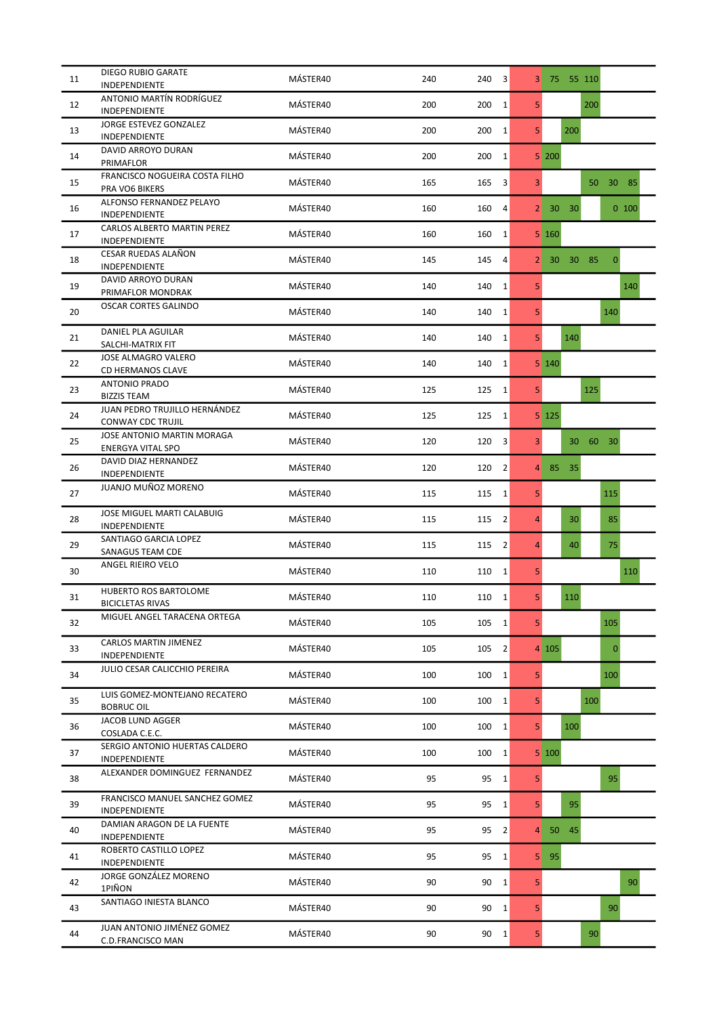| 11 | <b>DIEGO RUBIO GARATE</b><br>INDEPENDIENTE         | MÁSTER40 | 240 | 240<br>3              | 3 <sup>1</sup> | 75 55 110                             |
|----|----------------------------------------------------|----------|-----|-----------------------|----------------|---------------------------------------|
| 12 | ANTONIO MARTÍN RODRÍGUEZ<br>INDEPENDIENTE          | MÁSTER40 | 200 | $\mathbf{1}$<br>200   | 5              | 200                                   |
| 13 | JORGE ESTEVEZ GONZALEZ                             | MÁSTER40 | 200 | $\mathbf{1}$<br>200   | 5 <sup>1</sup> | 200                                   |
| 14 | <b>INDEPENDIENTE</b><br>DAVID ARROYO DURAN         | MÁSTER40 | 200 | 200<br>$\mathbf{1}$   |                | 5 200                                 |
| 15 | PRIMAFLOR<br>FRANCISCO NOGUEIRA COSTA FILHO        | MÁSTER40 | 165 | 165<br>3              | 3              | 30<br>50<br>85                        |
|    | PRA VO6 BIKERS<br>ALFONSO FERNANDEZ PELAYO         |          |     |                       |                |                                       |
| 16 | INDEPENDIENTE<br>CARLOS ALBERTO MARTIN PEREZ       | MÁSTER40 | 160 | 160<br>4              | 2              | 30 <sup>°</sup><br>$0$ 100<br>30      |
| 17 | INDEPENDIENTE                                      | MÁSTER40 | 160 | $\mathbf{1}$<br>160   |                | $5 \vert 160$                         |
| 18 | CESAR RUEDAS ALAÑON<br>INDEPENDIENTE               | MÁSTER40 | 145 | 145<br>4              | 2 <sub>1</sub> | 30 85<br>$\mathbf{0}$<br>30           |
| 19 | DAVID ARROYO DURAN<br>PRIMAFLOR MONDRAK            | MÁSTER40 | 140 | $\mathbf{1}$<br>140   | 5              | 140                                   |
| 20 | <b>OSCAR CORTES GALINDO</b>                        | MÁSTER40 | 140 | 140<br>$\mathbf{1}$   | 5              | 140                                   |
| 21 | <b>DANIEL PLA AGUILAR</b><br>SALCHI-MATRIX FIT     | MÁSTER40 | 140 | $\mathbf 1$<br>140    | 5 <sup>1</sup> | 140                                   |
| 22 | JOSE ALMAGRO VALERO<br><b>CD HERMANOS CLAVE</b>    | MÁSTER40 | 140 | 140<br>1              |                | 5 140                                 |
| 23 | ANTONIO PRADO<br><b>BIZZIS TEAM</b>                | MÁSTER40 | 125 | $1\vert$<br>125       | 5 <sup>1</sup> | 125                                   |
| 24 | JUAN PEDRO TRUJILLO HERNÁNDEZ<br>CONWAY CDC TRUJIL | MÁSTER40 | 125 | 125<br>$\mathbf{1}$   |                | $5 \vert 125 \vert$                   |
| 25 | JOSE ANTONIO MARTIN MORAGA                         | MÁSTER40 | 120 | 120<br>3              | 3 <sup>1</sup> | 60<br>$30^{\circ}$<br>30 <sub>1</sub> |
| 26 | <b>ENERGYA VITAL SPO</b><br>DAVID DIAZ HERNANDEZ   | MÁSTER40 | 120 | $\overline{2}$<br>120 | $\overline{4}$ | 85<br>35                              |
| 27 | INDEPENDIENTE<br>JUANJO MUÑOZ MORENO               | MÁSTER40 | 115 | 115<br>$\mathbf{1}$   | 5              | 115                                   |
|    | JOSE MIGUEL MARTI CALABUIG                         | MÁSTER40 |     |                       | $\overline{4}$ | 30                                    |
| 28 | INDEPENDIENTE<br>SANTIAGO GARCIA LOPEZ             |          | 115 | $\overline{2}$<br>115 |                | 85                                    |
| 29 | SANAGUS TEAM CDE<br>ANGEL RIEIRO VELO              | MÁSTER40 | 115 | 115<br>$\overline{2}$ | $\overline{4}$ | 40<br>75                              |
| 30 |                                                    | MÁSTER40 | 110 | 110<br>$\mathbf{1}$   | 5 <sup>1</sup> | 110                                   |
| 31 | HUBERTO ROS BARTOLOME<br><b>BICICLETAS RIVAS</b>   | MÁSTER40 | 110 | 110<br>$\mathbf{1}$   | 5              | 110                                   |
| 32 | MIGUEL ANGEL TARACENA ORTEGA                       | MÁSTER40 | 105 | 105<br>$\mathbf{1}$   | 5 <sup>1</sup> | 105                                   |
| 33 | CARLOS MARTIN JIMENEZ<br>INDEPENDIENTE             | MÁSTER40 | 105 | 105<br>$\overline{2}$ |                | 4 105 <br>$\mathbf{0}$                |
| 34 | JULIO CESAR CALICCHIO PEREIRA                      | MÁSTER40 | 100 | 100<br>$\mathbf{1}$   | 5              | 100                                   |
| 35 | LUIS GOMEZ-MONTEJANO RECATERO<br><b>BOBRUC OIL</b> | MÁSTER40 | 100 | 100<br>$1\vert$       | 5 <sup>1</sup> | 100                                   |
| 36 | JACOB LUND AGGER<br>COSLADA C.E.C.                 | MÁSTER40 | 100 | 100<br>$\mathbf{1}$   | 5 <sup>1</sup> | 100                                   |
| 37 | SERGIO ANTONIO HUERTAS CALDERO<br>INDEPENDIENTE    | MÁSTER40 | 100 | 100<br>$\mathbf{1}$   |                | 5 100                                 |
| 38 | ALEXANDER DOMINGUEZ FERNANDEZ                      | MÁSTER40 | 95  | 95<br>$\mathbf{1}$    | 5              | 95                                    |
| 39 | FRANCISCO MANUEL SANCHEZ GOMEZ<br>INDEPENDIENTE    | MÁSTER40 | 95  | 95<br>$\mathbf{1}$    | 5 <sup>1</sup> | 95                                    |
| 40 | DAMIAN ARAGON DE LA FUENTE                         | MÁSTER40 | 95  | 95<br>2               | 4              | 45<br>50                              |
| 41 | INDEPENDIENTE<br>ROBERTO CASTILLO LOPEZ            | MÁSTER40 | 95  | 95<br>1               | 5              | 95                                    |
| 42 | INDEPENDIENTE<br>JORGE GONZÁLEZ MORENO             | MÁSTER40 | 90  | 90<br>$\mathbf{1}$    | 5              | 90                                    |
| 43 | 1PIÑON<br>SANTIAGO INIESTA BLANCO                  | MÁSTER40 | 90  | 90<br>$\mathbf{1}$    | 5              | 90                                    |
| 44 | JUAN ANTONIO JIMÉNEZ GOMEZ                         | MÁSTER40 | 90  | 90<br> 1              | 5 <sup>1</sup> | 90                                    |
|    | C.D.FRANCISCO MAN                                  |          |     |                       |                |                                       |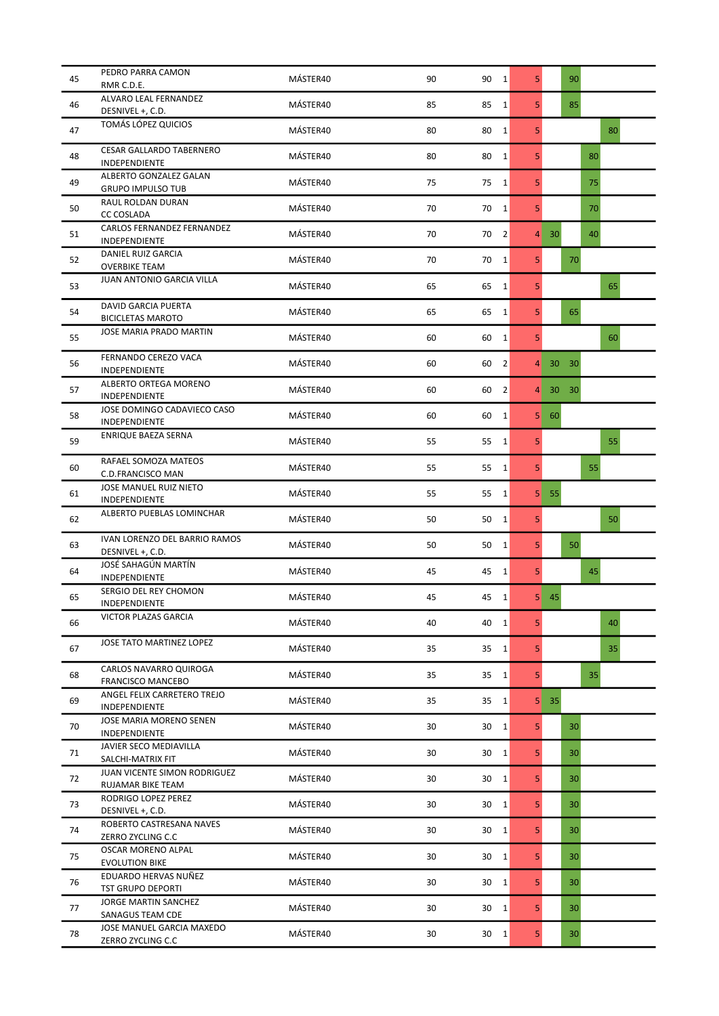| 45 | PEDRO PARRA CAMON<br>RMR C.D.E.                          | MÁSTER40 | 90 | 90<br>$\vert$ 1 |                | 5 <sup>1</sup> |                 | 90 |    |    |
|----|----------------------------------------------------------|----------|----|-----------------|----------------|----------------|-----------------|----|----|----|
| 46 | ALVARO LEAL FERNANDEZ<br>DESNIVEL +, C.D.                | MÁSTER40 | 85 | 85              | 1              | 5 <sup>1</sup> |                 | 85 |    |    |
| 47 | TOMÁS LÓPEZ QUICIOS                                      | MÁSTER40 | 80 | 80              | 1              | 5 <sup>1</sup> |                 |    |    | 80 |
| 48 | <b>CESAR GALLARDO TABERNERO</b><br>INDEPENDIENTE         | MÁSTER40 | 80 | 80              | $\mathbf{1}$   | 5 <sup>1</sup> |                 |    | 80 |    |
| 49 | ALBERTO GONZALEZ GALAN<br><b>GRUPO IMPULSO TUB</b>       | MÁSTER40 | 75 | 75              | $\vert$ 1      | 5              |                 |    | 75 |    |
| 50 | <b>RAUL ROLDAN DURAN</b><br><b>CC COSLADA</b>            | MÁSTER40 | 70 | 70              | $\vert$ 1      | 5 <sup>1</sup> |                 |    | 70 |    |
| 51 | CARLOS FERNANDEZ FERNANDEZ<br>INDEPENDIENTE              | MÁSTER40 | 70 | 70              | $\vert$ 2      | $\overline{4}$ | 30              |    | 40 |    |
| 52 | DANIEL RUIZ GARCIA<br><b>OVERBIKE TEAM</b>               | MÁSTER40 | 70 | 70              | $\vert$ 1      | 5 <sup>1</sup> |                 | 70 |    |    |
| 53 | JUAN ANTONIO GARCIA VILLA                                | MÁSTER40 | 65 | 65              | 1              | 5              |                 |    |    | 65 |
| 54 | DAVID GARCIA PUERTA<br><b>BICICLETAS MAROTO</b>          | MÁSTER40 | 65 | 65              | $\mathbf{1}$   | 5 <sup>1</sup> |                 | 65 |    |    |
| 55 | <b>JOSE MARIA PRADO MARTIN</b>                           | MÁSTER40 | 60 | 60              | $\mathbf{1}$   | 5 <sup>1</sup> |                 |    |    | 60 |
| 56 | FERNANDO CEREZO VACA<br>INDEPENDIENTE                    | MÁSTER40 | 60 | 60              | $\overline{2}$ | $\overline{4}$ | 30 30           |    |    |    |
| 57 | ALBERTO ORTEGA MORENO<br>INDEPENDIENTE                   | MÁSTER40 | 60 | 60              | $\overline{2}$ | 4              | 30 <sup>°</sup> | 30 |    |    |
| 58 | JOSE DOMINGO CADAVIECO CASO<br>INDEPENDIENTE             | MÁSTER40 | 60 | 60              | 1              | 5              | 60              |    |    |    |
| 59 | ENRIQUE BAEZA SERNA                                      | MÁSTER40 | 55 | 55              | 1              | 5 <sup>1</sup> |                 |    |    | 55 |
| 60 | RAFAEL SOMOZA MATEOS<br>C.D.FRANCISCO MAN                | MÁSTER40 | 55 | 55              | $\mathbf{1}$   | 5 <sup>1</sup> |                 |    | 55 |    |
| 61 | JOSE MANUEL RUIZ NIETO<br>INDEPENDIENTE                  | MÁSTER40 | 55 | 55              | $\mathbf{1}$   | 5              | 55              |    |    |    |
| 62 | ALBERTO PUEBLAS LOMINCHAR                                | MÁSTER40 | 50 | 50              | $\mathbf{1}$   | 5 <sup>1</sup> |                 |    |    | 50 |
| 63 | <b>IVAN LORENZO DEL BARRIO RAMOS</b><br>DESNIVEL +, C.D. | MÁSTER40 | 50 | 50              | $\vert$ 1      | 5 <sup>1</sup> |                 | 50 |    |    |
| 64 | JOSÉ SAHAGÚN MARTÍN<br>INDEPENDIENTE                     | MÁSTER40 | 45 | 45              | 1              | 5 <sup>1</sup> |                 |    | 45 |    |
| 65 | SERGIO DEL REY CHOMON<br>INDEPENDIENTE                   | MÁSTER40 | 45 | 45              | $\mathbf{1}$   | 5              | 45              |    |    |    |
| 66 | VICTOR PLAZAS GARCIA                                     | MÁSTER40 | 40 | $40 \quad 1$    |                | 5 <sup>1</sup> |                 |    |    | 40 |
| 67 | JOSE TATO MARTINEZ LOPEZ                                 | MÁSTER40 | 35 | 35              | $\vert$ 1      | 5 <sup>1</sup> |                 |    |    | 35 |
| 68 | CARLOS NAVARRO QUIROGA<br><b>FRANCISCO MANCEBO</b>       | MÁSTER40 | 35 | 35              | 1              | 5 <sup>1</sup> |                 |    | 35 |    |
| 69 | ANGEL FELIX CARRETERO TREJO<br>INDEPENDIENTE             | MÁSTER40 | 35 | 35              | $\vert$ 1      | 5 <sub>l</sub> | 35              |    |    |    |
| 70 | JOSE MARIA MORENO SENEN<br>INDEPENDIENTE                 | MÁSTER40 | 30 | 30              | $\vert$ 1      | 5 <sup>1</sup> |                 | 30 |    |    |
| 71 | JAVIER SECO MEDIAVILLA<br>SALCHI-MATRIX FIT              | MÁSTER40 | 30 | 30              | $\vert$ 1      | 5 <sup>1</sup> |                 | 30 |    |    |
| 72 | JUAN VICENTE SIMON RODRIGUEZ<br>RUJAMAR BIKE TEAM        | MÁSTER40 | 30 | 30              | $\vert$ 1      | 5 <sup>1</sup> |                 | 30 |    |    |
| 73 | RODRIGO LOPEZ PEREZ<br>DESNIVEL +, C.D.                  | MÁSTER40 | 30 | 30              | $\mathbf{1}$   | 5 <sup>1</sup> |                 | 30 |    |    |
| 74 | ROBERTO CASTRESANA NAVES<br>ZERRO ZYCLING C.C            | MÁSTER40 | 30 | 30              | 1              | 5 <sup>1</sup> |                 | 30 |    |    |
| 75 | OSCAR MORENO ALPAL<br><b>EVOLUTION BIKE</b>              | MÁSTER40 | 30 | 30              | $\vert$ 1      | 5 <sup>1</sup> |                 | 30 |    |    |
| 76 | EDUARDO HERVAS NUÑEZ<br><b>TST GRUPO DEPORTI</b>         | MÁSTER40 | 30 | 30              | $\vert$ 1      | 5 <sup>1</sup> |                 | 30 |    |    |
| 77 | JORGE MARTIN SANCHEZ<br>SANAGUS TEAM CDE                 | MÁSTER40 | 30 | 30              | 1              | 5 <sup>1</sup> |                 | 30 |    |    |
| 78 | JOSE MANUEL GARCIA MAXEDO<br>ZERRO ZYCLING C.C           | MÁSTER40 | 30 | 30              | $\vert$ 1      | 5 <sup>1</sup> |                 | 30 |    |    |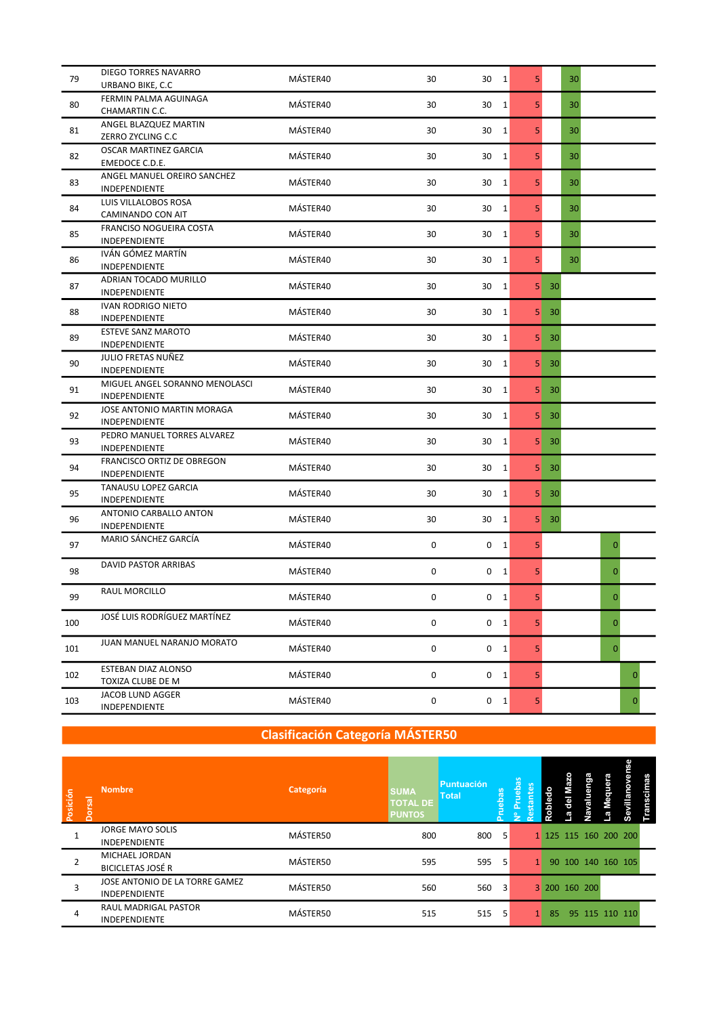| 79  | DIEGO TORRES NAVARRO                                | MÁSTER40 | 30                  | 30<br>$\vert$ 1          | 5              | 30           |              |  |
|-----|-----------------------------------------------------|----------|---------------------|--------------------------|----------------|--------------|--------------|--|
|     | URBANO BIKE, C.C.                                   |          |                     |                          |                |              |              |  |
| 80  | FERMIN PALMA AGUINAGA<br>CHAMARTIN C.C.             | MÁSTER40 | 30                  | 30<br>$\vert$ 1          | 5              | 30           |              |  |
| 81  | ANGEL BLAZQUEZ MARTIN<br>ZERRO ZYCLING C.C          | MÁSTER40 | 30                  | 30<br>$\vert$ 1          | 5              | 30           |              |  |
| 82  | OSCAR MARTINEZ GARCIA<br>EMEDOCE C.D.E.             | MÁSTER40 | 30                  | 30<br> 1                 | 5              | 30           |              |  |
| 83  | ANGEL MANUEL OREIRO SANCHEZ<br>INDEPENDIENTE        | MÁSTER40 | 30                  | 30<br>1                  | 5              | 30           |              |  |
| 84  | LUIS VILLALOBOS ROSA<br>CAMINANDO CON AIT           | MÁSTER40 | 30                  | 30<br>$\vert$ 1          | 5              | 30           |              |  |
| 85  | FRANCISO NOGUEIRA COSTA<br>INDEPENDIENTE            | MÁSTER40 | 30                  | 30<br>$\vert$ 1          | 5              | 30           |              |  |
| 86  | IVÁN GÓMEZ MARTÍN<br>INDEPENDIENTE                  | MÁSTER40 | 30                  | $\vert$ 1<br>30          | 5              | 30           |              |  |
| 87  | ADRIAN TOCADO MURILLO<br>INDEPENDIENTE              | MÁSTER40 | 30                  | 30<br>$\mathbf{1}$       | 5 <sub>1</sub> | $30^{\circ}$ |              |  |
| 88  | IVAN RODRIGO NIETO<br>INDEPENDIENTE                 | MÁSTER40 | 30                  | 30<br>$\mathbf{1}$       | 5 <sub>l</sub> | -30          |              |  |
| 89  | <b>ESTEVE SANZ MAROTO</b><br>INDEPENDIENTE          | MÁSTER40 | 30                  | 30<br>$\mathbf{1}$       |                | $5 \mid 30$  |              |  |
| 90  | JULIO FRETAS NUÑEZ<br>INDEPENDIENTE                 | MÁSTER40 | 30                  | 30<br>$\vert$ 1          | 5              | 30           |              |  |
| 91  | MIGUEL ANGEL SORANNO MENOLASCI<br>INDEPENDIENTE     | MÁSTER40 | 30                  | 30<br>$\vert$ 1          | 5 <sub>1</sub> | 30           |              |  |
| 92  | JOSE ANTONIO MARTIN MORAGA<br>INDEPENDIENTE         | MÁSTER40 | 30                  | 30<br>$\vert$ 1          | 5              | 30           |              |  |
| 93  | PEDRO MANUEL TORRES ALVAREZ<br><b>INDEPENDIENTE</b> | MÁSTER40 | 30                  | 30<br>$\vert$ 1          | 5 <sub>1</sub> | 30           |              |  |
| 94  | FRANCISCO ORTIZ DE OBREGON<br>INDEPENDIENTE         | MÁSTER40 | 30                  | 30<br>$\mathbf{1}$       |                | $5 \mid 30$  |              |  |
| 95  | TANAUSU LOPEZ GARCIA<br>INDEPENDIENTE               | MÁSTER40 | 30                  | 30<br>1                  | 5 <sub>1</sub> | 30           |              |  |
| 96  | ANTONIO CARBALLO ANTON<br>INDEPENDIENTE             | MÁSTER40 | 30                  | 30<br>$\vert$ 1          | 5 <sup>1</sup> | 30           |              |  |
| 97  | MARIO SÁNCHEZ GARCÍA                                | MÁSTER40 | 0                   | 0<br>$\vert$ 1           | 5              |              | 0            |  |
| 98  | <b>DAVID PASTOR ARRIBAS</b>                         | MÁSTER40 | $\mathsf 0$         | $\mathbf 0$<br>$\vert$ 1 | 5              |              | 0            |  |
| 99  | <b>RAUL MORCILLO</b>                                | MÁSTER40 | 0                   | 0<br>$\vert$ 1           | 5              |              | 0            |  |
| 100 | JOSÉ LUIS RODRÍGUEZ MARTÍNEZ                        | MÁSTER40 | $\mathsf 0$         | $0\quad 1$               | 5              |              | $\mathbf 0$  |  |
| 101 | JUAN MANUEL NARANJO MORATO                          | MÁSTER40 | $\mathsf{O}\xspace$ | $0 \quad 1$              | 5              |              | $\mathbf{0}$ |  |
| 102 | ESTEBAN DIAZ ALONSO<br>TOXIZA CLUBE DE M            | MÁSTER40 | $\mathsf{O}\xspace$ | $0 \quad 1$              | 5              |              | $\mathbf{0}$ |  |
| 103 | JACOB LUND AGGER<br>INDEPENDIENTE                   | MÁSTER40 | 0                   | $0 \quad 1$              | 5              |              | 0            |  |

| Posición | $\overline{\mathsf{sa}}$<br>δ | <b>Nombre</b>                                          | Categoría | <b>SUMA</b><br><b>TOTAL DE</b><br><b>PUNTOS</b> | <b>Puntuación</b><br><b>Total</b> |   | ន<br>유<br>╕<br>≗ | tes | or<br>Roble |                       | ౚ |                | usili<br>တိ | mas<br>ិន្ល |  |
|----------|-------------------------------|--------------------------------------------------------|-----------|-------------------------------------------------|-----------------------------------|---|------------------|-----|-------------|-----------------------|---|----------------|-------------|-------------|--|
|          |                               | JORGE MAYO SOLIS<br><b>INDEPENDIENTE</b>               | MÁSTER50  | 800                                             | 800                               | 5 |                  |     |             | 1 125 115 160 200 200 |   |                |             |             |  |
|          |                               | MICHAEL JORDAN<br><b>BICICLETAS JOSÉ R</b>             | MÁSTER50  | 595                                             | 595                               | 5 |                  |     |             | 90 100 140 160 105    |   |                |             |             |  |
| 3        |                               | JOSE ANTONIO DE LA TORRE GAMEZ<br><b>INDEPENDIENTE</b> | MÁSTER50  | 560                                             | 560                               | 3 |                  |     |             | 3 200 160 200         |   |                |             |             |  |
| 4        |                               | RAUL MADRIGAL PASTOR<br><b>INDEPENDIENTE</b>           | MÁSTER50  | 515                                             | 515                               |   |                  |     |             | 85                    |   | 95 115 110 110 |             |             |  |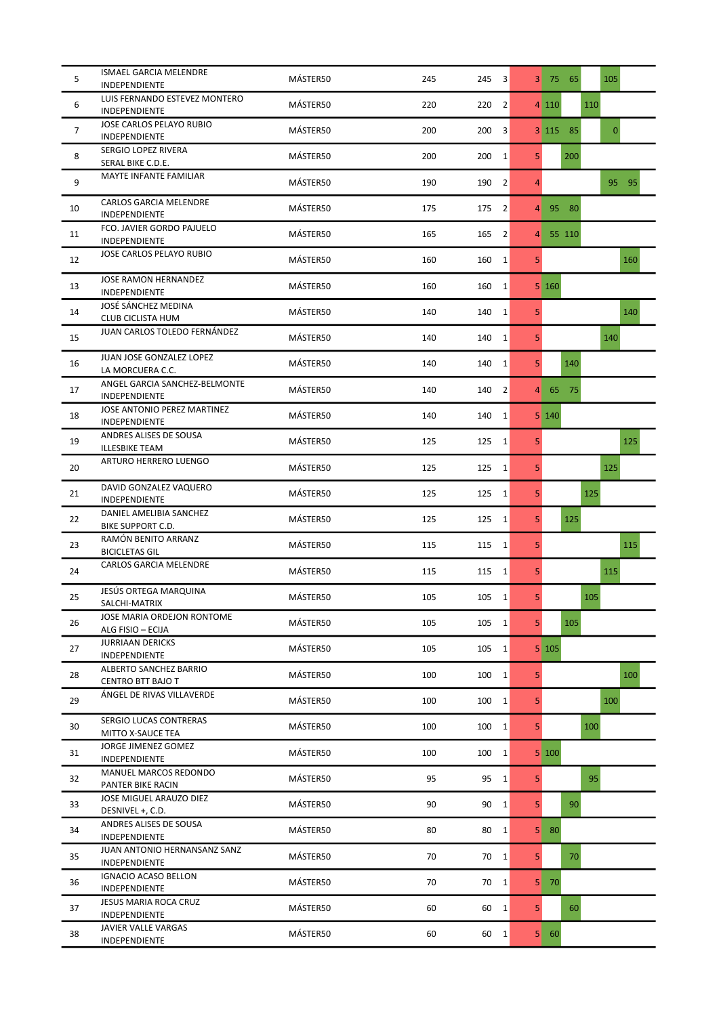| 5              | <b>ISMAEL GARCIA MELENDRE</b><br>INDEPENDIENTE      | MÁSTER50 | 245 | 245<br>$\vert$ 3      | 3 <sup>1</sup> | 105<br>75 65             |
|----------------|-----------------------------------------------------|----------|-----|-----------------------|----------------|--------------------------|
| 6              | LUIS FERNANDO ESTEVEZ MONTERO<br>INDEPENDIENTE      | MÁSTER50 | 220 | 220<br>$\overline{2}$ |                | 4 110<br>110             |
| $\overline{7}$ | JOSE CARLOS PELAYO RUBIO<br><b>INDEPENDIENTE</b>    | MÁSTER50 | 200 | 3<br>200              |                | $\mathbf{0}$<br>3 115 85 |
| 8              | SERGIO LOPEZ RIVERA<br>SERAL BIKE C.D.E.            | MÁSTER50 | 200 | 1<br>200              | 5              | 200                      |
| 9              | MAYTE INFANTE FAMILIAR                              | MÁSTER50 | 190 | 190<br>$\overline{2}$ | 4              | 95<br>$-95$              |
| 10             | CARLOS GARCIA MELENDRE<br>INDEPENDIENTE             | MÁSTER50 | 175 | 175<br>$\overline{2}$ | 4              | 95 80                    |
| 11             | FCO. JAVIER GORDO PAJUELO<br>INDEPENDIENTE          | MÁSTER50 | 165 | $\overline{2}$<br>165 | $\overline{4}$ | 55 110                   |
| 12             | JOSE CARLOS PELAYO RUBIO                            | MÁSTER50 | 160 | 1 <br>160             | 5 <sup>1</sup> | 160                      |
| 13             | JOSE RAMON HERNANDEZ<br>INDEPENDIENTE               | MÁSTER50 | 160 | 160<br>$\mathbf{1}$   |                | 5160                     |
| 14             | JOSÉ SÁNCHEZ MEDINA<br>CLUB CICLISTA HUM            | MÁSTER50 | 140 | 140<br>$\mathbf{1}$   | 5 <sup>1</sup> | 140                      |
| 15             | JUAN CARLOS TOLEDO FERNÁNDEZ                        | MÁSTER50 | 140 | $\mathbf{1}$<br>140   | 5              | 140                      |
| 16             | JUAN JOSE GONZALEZ LOPEZ<br>LA MORCUERA C.C.        | MÁSTER50 | 140 | 140<br>1              | 5 <sup>1</sup> | 140                      |
| 17             | ANGEL GARCIA SANCHEZ-BELMONTE<br>INDEPENDIENTE      | MÁSTER50 | 140 | $\overline{2}$<br>140 | $\overline{4}$ | 75<br>65                 |
| 18             | JOSE ANTONIO PEREZ MARTINEZ<br><b>INDEPENDIENTE</b> | MÁSTER50 | 140 | 140<br> 1             |                | 5 140                    |
| 19             | ANDRES ALISES DE SOUSA<br><b>ILLESBIKE TEAM</b>     | MÁSTER50 | 125 | 125<br> 1             | 5 <sup>1</sup> | 125                      |
| 20             | ARTURO HERRERO LUENGO                               | MÁSTER50 | 125 | 1<br>125              | 5              | 125                      |
| 21             | DAVID GONZALEZ VAQUERO<br><b>INDEPENDIENTE</b>      | MÁSTER50 | 125 | 125<br>$\mathbf{1}$   | 5 <sup>1</sup> | 125                      |
| 22             | DANIEL AMELIBIA SANCHEZ<br><b>BIKE SUPPORT C.D.</b> | MÁSTER50 | 125 | 125<br> 1             | 5 <sup>1</sup> | 125                      |
| 23             | RAMÓN BENITO ARRANZ<br><b>BICICLETAS GIL</b>        | MÁSTER50 | 115 | 115<br> 1             | 5              | 115                      |
| 24             | <b>CARLOS GARCIA MELENDRE</b>                       | MÁSTER50 | 115 | 1 <br>115             | 5 <sup>1</sup> | 115                      |
| 25             | <b>JESÚS ORTEGA MARQUINA</b><br>SALCHI-MATRIX       | MÁSTER50 | 105 | 105<br>1              | 5              | 105                      |
| 26             | JOSE MARIA ORDEJON RONTOME<br>ALG FISIO - ECIJA     | MÁSTER50 | 105 | 105<br>$\vert$ 1      | 5 <sup>1</sup> | 105                      |
| 27             | <b>JURRIAAN DERICKS</b><br>INDEPENDIENTE            | MÁSTER50 | 105 | 105<br> 1             |                | 5 105                    |
| 28             | ALBERTO SANCHEZ BARRIO<br>CENTRO BTT BAJO T         | MÁSTER50 | 100 | 100<br> 1             | 5 <sup>1</sup> | 100                      |
| 29             | ÁNGEL DE RIVAS VILLAVERDE                           | MÁSTER50 | 100 | 100<br> 1             | 5 <sup>1</sup> | 100                      |
| 30             | SERGIO LUCAS CONTRERAS<br>MITTO X-SAUCE TEA         | MÁSTER50 | 100 | 100<br> 1             | 5 <sup>1</sup> | 100                      |
| 31             | JORGE JIMENEZ GOMEZ<br>INDEPENDIENTE                | MÁSTER50 | 100 | 100<br> 1             |                | 5 100                    |
| 32             | MANUEL MARCOS REDONDO<br>PANTER BIKE RACIN          | MÁSTER50 | 95  | 95<br> 1              | 5              | 95                       |
| 33             | JOSE MIGUEL ARAUZO DIEZ<br>DESNIVEL +, C.D.         | MÁSTER50 | 90  | 90<br>$\mathbf{1}$    | 5 <sup>1</sup> | 90                       |
| 34             | ANDRES ALISES DE SOUSA<br>INDEPENDIENTE             | MÁSTER50 | 80  | 80<br> 1              | 5 <sub>1</sub> | 80                       |
| 35             | JUAN ANTONIO HERNANSANZ SANZ<br>INDEPENDIENTE       | MÁSTER50 | 70  | 70<br>1               | 5 <sup>1</sup> | 70                       |
| 36             | <b>IGNACIO ACASO BELLON</b><br>INDEPENDIENTE        | MÁSTER50 | 70  | 70<br>$\vert$ 1       | 5 <sub>1</sub> | 70                       |
| 37             | JESUS MARIA ROCA CRUZ<br>INDEPENDIENTE              | MÁSTER50 | 60  | 60<br> 1              | 5 <sup>1</sup> | 60                       |
| 38             | JAVIER VALLE VARGAS<br>INDEPENDIENTE                | MÁSTER50 | 60  | 60<br>$\vert$ 1       |                | $5 \quad 60$             |
|                |                                                     |          |     |                       |                |                          |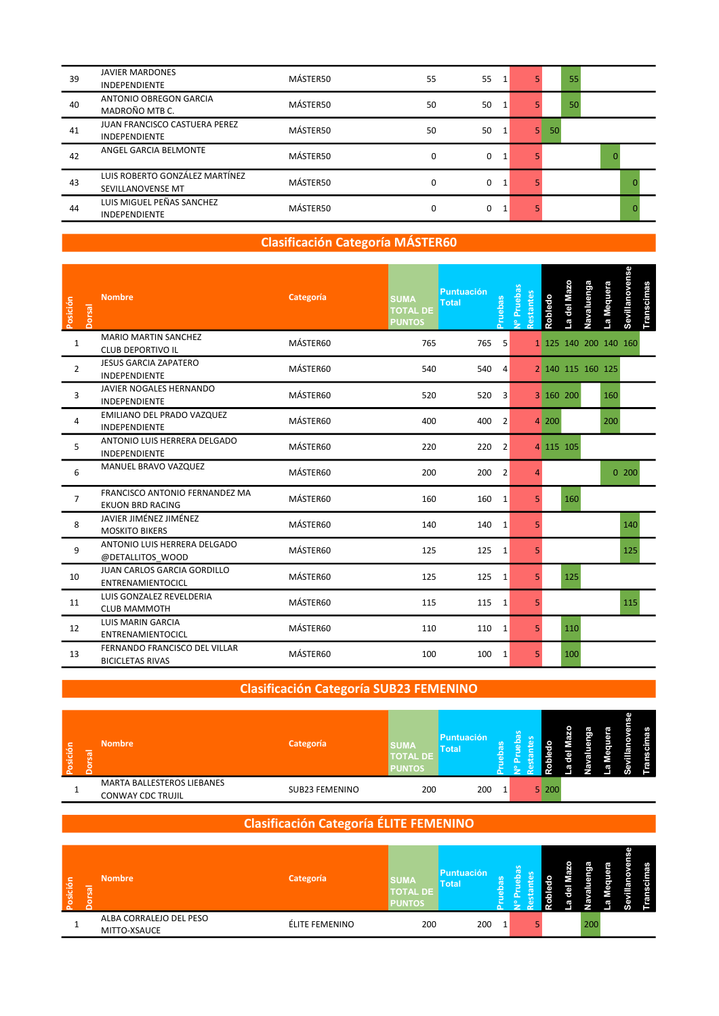| 39 | <b>JAVIER MARDONES</b><br><b>INDEPENDIENTE</b>               | MÁSTER50 | 55       | 55 |    |    | 55 |  |  |
|----|--------------------------------------------------------------|----------|----------|----|----|----|----|--|--|
| 40 | <b>ANTONIO OBREGON GARCIA</b><br>MADROÑO MTB C.              | MÁSTER50 | 50       | 50 |    |    | 50 |  |  |
| 41 | <b>JUAN FRANCISCO CASTUERA PEREZ</b><br><b>INDEPENDIENTE</b> | MÁSTER50 | 50       | 50 | 5. | 50 |    |  |  |
| 42 | ANGEL GARCIA BELMONTE                                        | MÁSTER50 | 0        | 0  |    |    |    |  |  |
| 43 | LUIS ROBERTO GONZÁLEZ MARTÍNEZ<br>SEVILLANOVENSE MT          | MÁSTER50 | $\Omega$ | 0  |    |    |    |  |  |
| 44 | LUIS MIGUEL PEÑAS SANCHEZ<br><b>INDEPENDIENTE</b>            | MÁSTER50 | $\Omega$ | 0  |    |    |    |  |  |

| Posición<br>Dorsal | <b>Nombre</b>                                             | Categoría | <b>SUMA</b><br><b>TOTAL DE</b><br><b>PUNTOS</b> | <b>Puntuación</b><br><b>Total</b> | Pruebas        | Nº Pruebas<br>Restantes | Robledo | La del Mazo           | Navaluenga | La Mequera | Sevillanovense | Transcimas |  |  |  |
|--------------------|-----------------------------------------------------------|-----------|-------------------------------------------------|-----------------------------------|----------------|-------------------------|---------|-----------------------|------------|------------|----------------|------------|--|--|--|
| $\mathbf{1}$       | <b>MARIO MARTIN SANCHEZ</b><br><b>CLUB DEPORTIVO IL</b>   | MÁSTER60  | 765                                             | 765                               | 5              |                         |         | 1 125 140 200 140 160 |            |            |                |            |  |  |  |
| $\overline{2}$     | <b>JESUS GARCIA ZAPATERO</b><br><b>INDEPENDIENTE</b>      | MÁSTER60  | 540                                             | 540                               | $\overline{4}$ |                         |         | 2 140 115 160 125     |            |            |                |            |  |  |  |
| $\overline{3}$     | JAVIER NOGALES HERNANDO<br>INDEPENDIENTE                  | MÁSTER60  | 520                                             | 520                               | 3              |                         |         | 3 160 200             |            | 160        |                |            |  |  |  |
| 4                  | EMILIANO DEL PRADO VAZQUEZ<br><b>INDEPENDIENTE</b>        | MÁSTER60  | 400                                             | 400                               | 2              |                         | 4 200   |                       |            | 200        |                |            |  |  |  |
| 5                  | ANTONIO LUIS HERRERA DELGADO<br>INDEPENDIENTE             | MÁSTER60  | 220                                             | 220                               | 2              |                         |         | 4 115 105             |            |            |                |            |  |  |  |
| 6                  | MANUEL BRAVO VAZQUEZ                                      | MÁSTER60  | 200                                             | 200                               | $\overline{2}$ | $\Delta$                |         |                       |            |            | 0.200          |            |  |  |  |
| $\overline{7}$     | FRANCISCO ANTONIO FERNANDEZ MA<br><b>EKUON BRD RACING</b> | MÁSTER60  | 160                                             | 160                               | 1              | 5                       |         | 160                   |            |            |                |            |  |  |  |
| 8                  | JAVIER JIMÉNEZ JIMÉNEZ<br><b>MOSKITO BIKERS</b>           | MÁSTER60  | 140                                             | 140                               | 1              | 5                       |         |                       |            |            | 140            |            |  |  |  |
| 9                  | ANTONIO LUIS HERRERA DELGADO<br>@DETALLITOS WOOD          | MÁSTER60  | 125                                             | 125 1                             |                | 5                       |         |                       |            |            | 125            |            |  |  |  |
| 10                 | JUAN CARLOS GARCIA GORDILLO<br>ENTRENAMIENTOCICL          | MÁSTER60  | 125                                             | 125                               | 1              | 5                       |         | 125                   |            |            |                |            |  |  |  |
| 11                 | LUIS GONZALEZ REVELDERIA<br><b>CLUB MAMMOTH</b>           | MÁSTER60  | 115                                             | 115                               | 1              | 5                       |         |                       |            |            | 115            |            |  |  |  |
| 12                 | LUIS MARIN GARCIA<br>ENTRENAMIENTOCICL                    | MÁSTER60  | 110                                             | 110                               | 1              | 5 <sup>1</sup>          |         | 110                   |            |            |                |            |  |  |  |
| 13                 | FERNANDO FRANCISCO DEL VILLAR<br><b>BICICLETAS RIVAS</b>  | MÁSTER60  | 100                                             | 100                               | 1              | 5 <sup>1</sup>          |         | 100                   |            |            |                |            |  |  |  |

#### Clasificación Categoría SUB23 FEMENINO

| Posición | <b>Nombre</b><br>$\overline{a}$ |                                                 | Categoría      | <b>SUMA</b><br><b>TOTAL DE</b><br><b>PUNTOS</b> | <b>Puntuación</b><br><b>Total</b> |  |       | וים | ٠. | −<br>j<br>−<br>−<br>ĺ |
|----------|---------------------------------|-------------------------------------------------|----------------|-------------------------------------------------|-----------------------------------|--|-------|-----|----|-----------------------|
|          |                                 | MARTA BALLESTEROS LIEBANES<br>CONWAY CDC TRUJIL | SUB23 FEMENINO | 200                                             | 200                               |  | 5 200 |     |    |                       |

#### Clasificación Categoría ÉLITE FEMENINO

| osición<br>Ιñ. | <b>Nombre</b>                           | Categoría      | <b>SUMA</b><br><b>TOTAL DE</b><br><b>PUNTOS</b> | Puntuación<br>Total | $\omega$ |  |     | – |  |  |
|----------------|-----------------------------------------|----------------|-------------------------------------------------|---------------------|----------|--|-----|---|--|--|
|                | ALBA CORRALEJO DEL PESO<br>MITTO-XSAUCE | ÉLITE FEMENINO | 200                                             | 200                 |          |  | 200 |   |  |  |